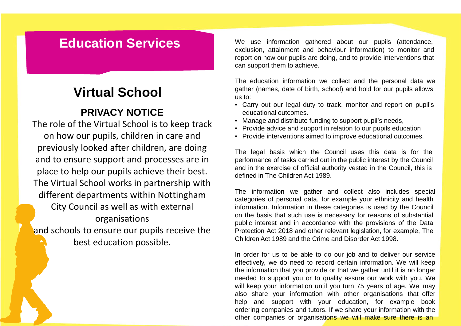## **Education Services**

## **Virtual School**

## **PRIVACY NOTICE**

The role of the Virtual School is to keep track on how our pupils, children in care and previously looked after children, are doing and to ensure support and processes are in place to help our pupils achieve their best. The Virtual School works in partnership with different departments within Nottingham City Council as well as with external organisations and schools to ensure our pupils receive the best education possible.

We use information gathered about our pupils (attendance, exclusion, attainment and behaviour information) to monitor and report on how our pupils are doing, and to provide interventions that can support them to achieve.

The education information we collect and the personal data we gather (names, date of birth, school) and hold for our pupils allows us to:

- Carry out our legal duty to track, monitor and report on pupil's educational outcomes.
- Manage and distribute funding to support pupil's needs,
- Provide advice and support in relation to our pupils education
- Provide interventions aimed to improve educational outcomes.

The legal basis which the Council uses this data is for the performance of tasks carried out in the public interest by the Council and in the exercise of official authority vested in the Council, this is defined in The Children Act 1989.

The information we gather and collect also includes special categories of personal data, for example your ethnicity and health information. Information in these categories is used by the Council on the basis that such use is necessary for reasons of substantial public interest and in accordance with the provisions of the Data Protection Act 2018 and other relevant legislation, for example, The Children Act 1989 and the Crime and Disorder Act 1998.

In order for us to be able to do our job and to deliver our service effectively, we do need to record certain information. We will keep the information that you provide or that we gather until it is no longer needed to support you or to quality assure our work with you. We will keep your information until you turn 75 years of age. We may also share your information with other organisations that offer help and support with your education, for example book ordering companies and tutors. If we share your information with the other companies or organisations we will make sure there is an